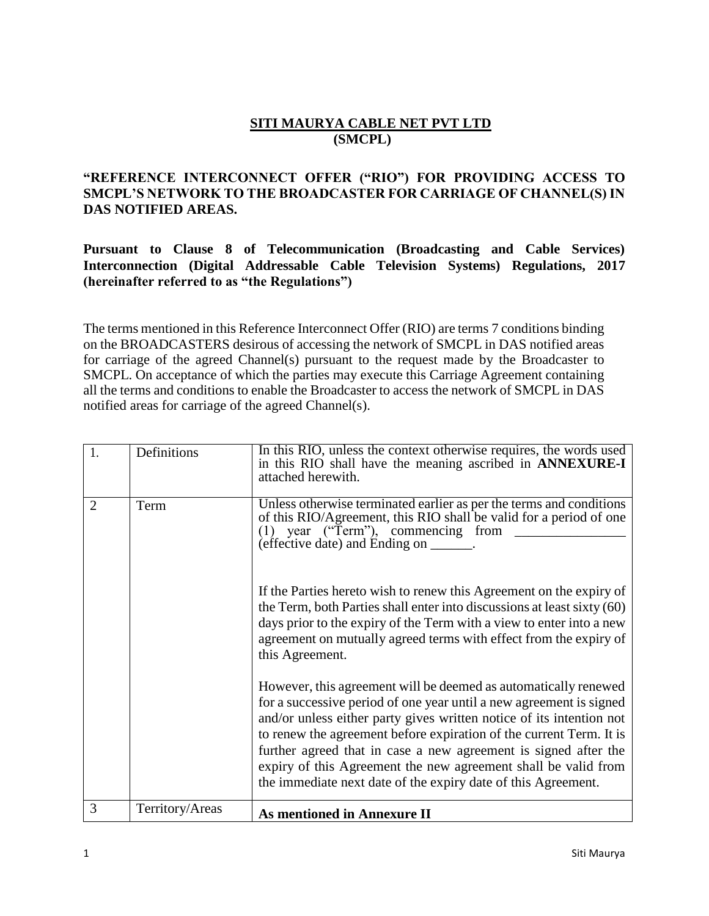## **SITI MAURYA CABLE NET PVT LTD (SMCPL)**

## **"REFERENCE INTERCONNECT OFFER ("RIO") FOR PROVIDING ACCESS TO SMCPL'S NETWORK TO THE BROADCASTER FOR CARRIAGE OF CHANNEL(S) IN DAS NOTIFIED AREAS.**

**Pursuant to Clause 8 of Telecommunication (Broadcasting and Cable Services) Interconnection (Digital Addressable Cable Television Systems) Regulations, 2017 (hereinafter referred to as "the Regulations")**

The terms mentioned in this Reference Interconnect Offer (RIO) are terms 7 conditions binding on the BROADCASTERS desirous of accessing the network of SMCPL in DAS notified areas for carriage of the agreed Channel(s) pursuant to the request made by the Broadcaster to SMCPL. On acceptance of which the parties may execute this Carriage Agreement containing all the terms and conditions to enable the Broadcaster to access the network of SMCPL in DAS notified areas for carriage of the agreed Channel(s).

| 1.             | Definitions     | In this RIO, unless the context otherwise requires, the words used<br>in this RIO shall have the meaning ascribed in <b>ANNEXURE-I</b><br>attached herewith.                                                                                                                                                                                                                                                                                                                                |
|----------------|-----------------|---------------------------------------------------------------------------------------------------------------------------------------------------------------------------------------------------------------------------------------------------------------------------------------------------------------------------------------------------------------------------------------------------------------------------------------------------------------------------------------------|
| $\overline{2}$ | Term            | Unless otherwise terminated earlier as per the terms and conditions<br>of this RIO/Agreement, this RIO shall be valid for a period of one<br>(1) year ("Term"), commencing from<br>(effective date) and Ending on ______.                                                                                                                                                                                                                                                                   |
|                |                 | If the Parties hereto wish to renew this Agreement on the expiry of<br>the Term, both Parties shall enter into discussions at least sixty (60)<br>days prior to the expiry of the Term with a view to enter into a new<br>agreement on mutually agreed terms with effect from the expiry of<br>this Agreement.                                                                                                                                                                              |
|                |                 | However, this agreement will be deemed as automatically renewed<br>for a successive period of one year until a new agreement is signed<br>and/or unless either party gives written notice of its intention not<br>to renew the agreement before expiration of the current Term. It is<br>further agreed that in case a new agreement is signed after the<br>expiry of this Agreement the new agreement shall be valid from<br>the immediate next date of the expiry date of this Agreement. |
| 3              | Territory/Areas | <b>As mentioned in Annexure II</b>                                                                                                                                                                                                                                                                                                                                                                                                                                                          |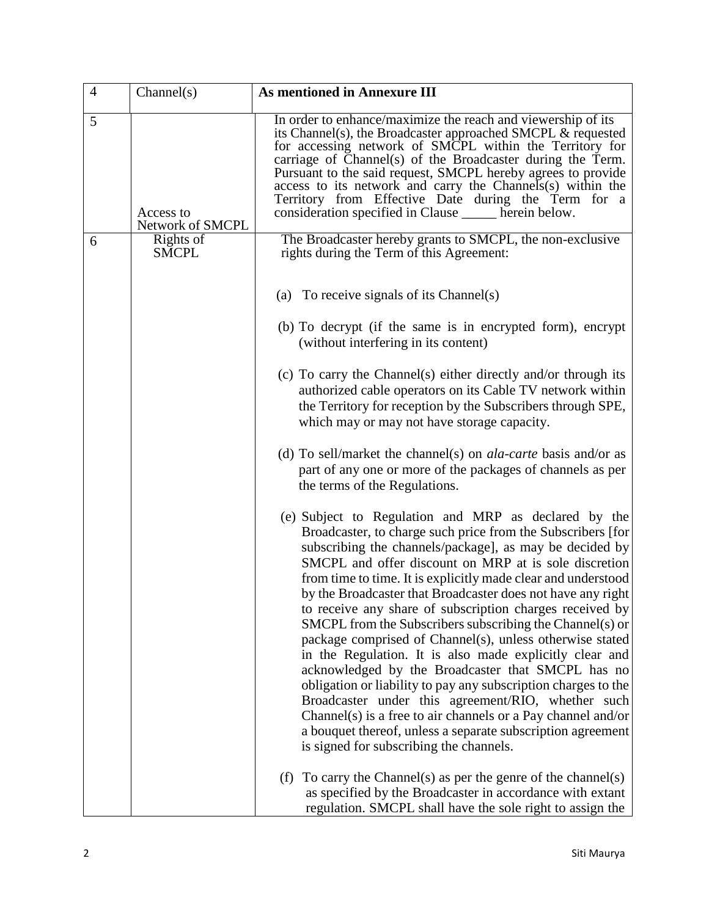| $\overline{4}$ | Channel(s)                    | <b>As mentioned in Annexure III</b>                                                                                                                                                                                                                                                                                                                                                                                                                                                                                                                                                                                                                                                                                                                                                                                                                                                                                                                                           |
|----------------|-------------------------------|-------------------------------------------------------------------------------------------------------------------------------------------------------------------------------------------------------------------------------------------------------------------------------------------------------------------------------------------------------------------------------------------------------------------------------------------------------------------------------------------------------------------------------------------------------------------------------------------------------------------------------------------------------------------------------------------------------------------------------------------------------------------------------------------------------------------------------------------------------------------------------------------------------------------------------------------------------------------------------|
| 5              | Access to<br>Network of SMCPL | In order to enhance/maximize the reach and viewership of its<br>its Channel(s), the Broadcaster approached SMCPL & requested<br>for accessing network of SMCPL within the Territory for<br>carriage of Channel(s) of the Broadcaster during the Term.<br>Pursuant to the said request, SMCPL hereby agrees to provide<br>access to its network and carry the Channels(s) within the<br>Territory from Effective Date during the Term for a<br>consideration specified in Clause ______ herein below.                                                                                                                                                                                                                                                                                                                                                                                                                                                                          |
| 6              | Rights of<br><b>SMCPL</b>     | The Broadcaster hereby grants to SMCPL, the non-exclusive<br>rights during the Term of this Agreement:                                                                                                                                                                                                                                                                                                                                                                                                                                                                                                                                                                                                                                                                                                                                                                                                                                                                        |
|                |                               | (a) To receive signals of its Channel(s)                                                                                                                                                                                                                                                                                                                                                                                                                                                                                                                                                                                                                                                                                                                                                                                                                                                                                                                                      |
|                |                               | (b) To decrypt (if the same is in encrypted form), encrypt<br>(without interfering in its content)                                                                                                                                                                                                                                                                                                                                                                                                                                                                                                                                                                                                                                                                                                                                                                                                                                                                            |
|                |                               | (c) To carry the Channel(s) either directly and/or through its<br>authorized cable operators on its Cable TV network within<br>the Territory for reception by the Subscribers through SPE,<br>which may or may not have storage capacity.                                                                                                                                                                                                                                                                                                                                                                                                                                                                                                                                                                                                                                                                                                                                     |
|                |                               | (d) To sell/market the channel(s) on <i>ala-carte</i> basis and/or as<br>part of any one or more of the packages of channels as per<br>the terms of the Regulations.                                                                                                                                                                                                                                                                                                                                                                                                                                                                                                                                                                                                                                                                                                                                                                                                          |
|                |                               | (e) Subject to Regulation and MRP as declared by the<br>Broadcaster, to charge such price from the Subscribers [for<br>subscribing the channels/package], as may be decided by<br>SMCPL and offer discount on MRP at is sole discretion<br>from time to time. It is explicitly made clear and understood<br>by the Broadcaster that Broadcaster does not have any right<br>to receive any share of subscription charges received by<br>SMCPL from the Subscribers subscribing the Channel(s) or<br>package comprised of Channel(s), unless otherwise stated<br>in the Regulation. It is also made explicitly clear and<br>acknowledged by the Broadcaster that SMCPL has no<br>obligation or liability to pay any subscription charges to the<br>Broadcaster under this agreement/RIO, whether such<br>Channel(s) is a free to air channels or a Pay channel and/or<br>a bouquet thereof, unless a separate subscription agreement<br>is signed for subscribing the channels. |
|                |                               | To carry the Channel(s) as per the genre of the channel(s)<br>(f)<br>as specified by the Broadcaster in accordance with extant<br>regulation. SMCPL shall have the sole right to assign the                                                                                                                                                                                                                                                                                                                                                                                                                                                                                                                                                                                                                                                                                                                                                                                   |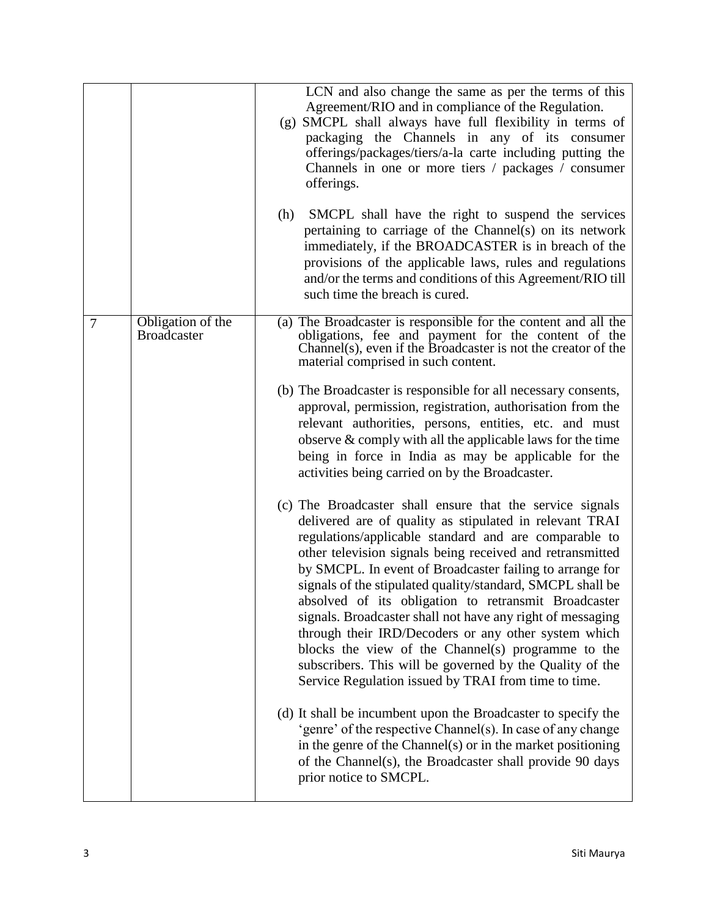|   |                                         | LCN and also change the same as per the terms of this<br>Agreement/RIO and in compliance of the Regulation.<br>(g) SMCPL shall always have full flexibility in terms of<br>packaging the Channels in any of its consumer<br>offerings/packages/tiers/a-la carte including putting the<br>Channels in one or more tiers / packages / consumer<br>offerings.                                                                                                                                                                                                                                                                                                                                                                   |
|---|-----------------------------------------|------------------------------------------------------------------------------------------------------------------------------------------------------------------------------------------------------------------------------------------------------------------------------------------------------------------------------------------------------------------------------------------------------------------------------------------------------------------------------------------------------------------------------------------------------------------------------------------------------------------------------------------------------------------------------------------------------------------------------|
|   |                                         | SMCPL shall have the right to suspend the services<br>(h)<br>pertaining to carriage of the Channel(s) on its network<br>immediately, if the BROADCASTER is in breach of the<br>provisions of the applicable laws, rules and regulations<br>and/or the terms and conditions of this Agreement/RIO till<br>such time the breach is cured.                                                                                                                                                                                                                                                                                                                                                                                      |
| 7 | Obligation of the<br><b>Broadcaster</b> | (a) The Broadcaster is responsible for the content and all the<br>obligations, fee and payment for the content of the<br>Channel(s), even if the Broadcaster is not the creator of the<br>material comprised in such content.                                                                                                                                                                                                                                                                                                                                                                                                                                                                                                |
|   |                                         | (b) The Broadcaster is responsible for all necessary consents,<br>approval, permission, registration, authorisation from the<br>relevant authorities, persons, entities, etc. and must<br>observe $\&$ comply with all the applicable laws for the time<br>being in force in India as may be applicable for the<br>activities being carried on by the Broadcaster.                                                                                                                                                                                                                                                                                                                                                           |
|   |                                         | (c) The Broadcaster shall ensure that the service signals<br>delivered are of quality as stipulated in relevant TRAI<br>regulations/applicable standard and are comparable to<br>other television signals being received and retransmitted<br>by SMCPL. In event of Broadcaster failing to arrange for<br>signals of the stipulated quality/standard, SMCPL shall be<br>absolved of its obligation to retransmit Broadcaster<br>signals. Broadcaster shall not have any right of messaging<br>through their IRD/Decoders or any other system which<br>blocks the view of the Channel(s) programme to the<br>subscribers. This will be governed by the Quality of the<br>Service Regulation issued by TRAI from time to time. |
|   |                                         | (d) It shall be incumbent upon the Broadcaster to specify the<br>'genre' of the respective Channel(s). In case of any change<br>in the genre of the Channel(s) or in the market positioning<br>of the Channel(s), the Broadcaster shall provide 90 days<br>prior notice to SMCPL.                                                                                                                                                                                                                                                                                                                                                                                                                                            |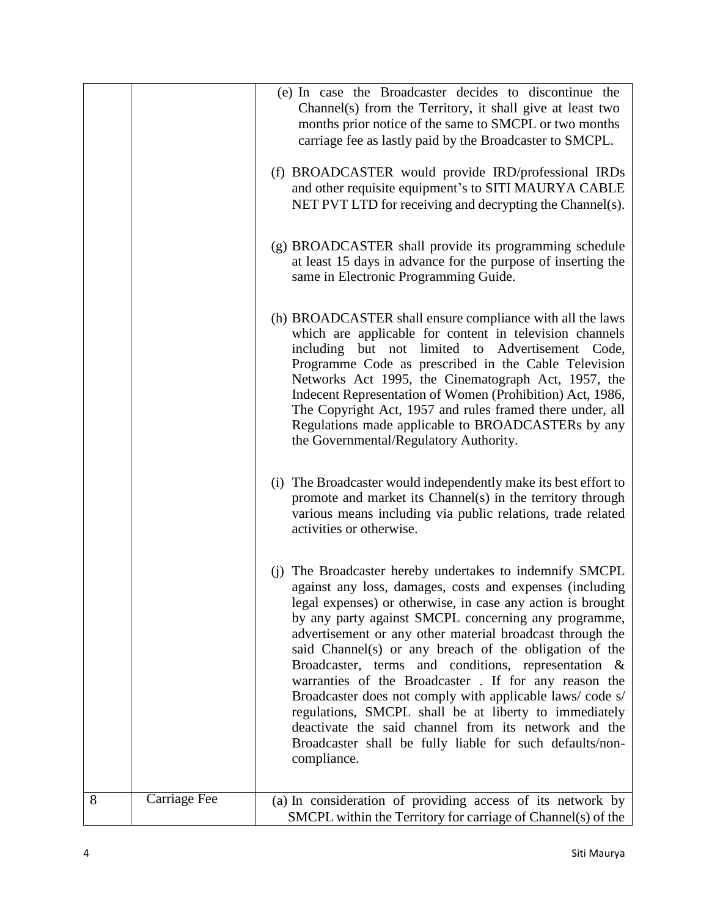|   |              | (e) In case the Broadcaster decides to discontinue the<br>Channel(s) from the Territory, it shall give at least two<br>months prior notice of the same to SMCPL or two months<br>carriage fee as lastly paid by the Broadcaster to SMCPL.                                                                                                                                                                                                                                                                                                                                                                                                                                                                                                  |
|---|--------------|--------------------------------------------------------------------------------------------------------------------------------------------------------------------------------------------------------------------------------------------------------------------------------------------------------------------------------------------------------------------------------------------------------------------------------------------------------------------------------------------------------------------------------------------------------------------------------------------------------------------------------------------------------------------------------------------------------------------------------------------|
|   |              | (f) BROADCASTER would provide IRD/professional IRDs<br>and other requisite equipment's to SITI MAURYA CABLE<br>NET PVT LTD for receiving and decrypting the Channel(s).                                                                                                                                                                                                                                                                                                                                                                                                                                                                                                                                                                    |
|   |              | (g) BROADCASTER shall provide its programming schedule<br>at least 15 days in advance for the purpose of inserting the<br>same in Electronic Programming Guide.                                                                                                                                                                                                                                                                                                                                                                                                                                                                                                                                                                            |
|   |              | (h) BROADCASTER shall ensure compliance with all the laws<br>which are applicable for content in television channels<br>including but not limited to Advertisement Code,<br>Programme Code as prescribed in the Cable Television<br>Networks Act 1995, the Cinematograph Act, 1957, the<br>Indecent Representation of Women (Prohibition) Act, 1986,<br>The Copyright Act, 1957 and rules framed there under, all<br>Regulations made applicable to BROADCASTERs by any<br>the Governmental/Regulatory Authority.                                                                                                                                                                                                                          |
|   |              | (i) The Broadcaster would independently make its best effort to<br>promote and market its Channel(s) in the territory through<br>various means including via public relations, trade related<br>activities or otherwise.                                                                                                                                                                                                                                                                                                                                                                                                                                                                                                                   |
|   |              | (j) The Broadcaster hereby undertakes to indemnify SMCPL<br>against any loss, damages, costs and expenses (including<br>legal expenses) or otherwise, in case any action is brought<br>by any party against SMCPL concerning any programme,<br>advertisement or any other material broadcast through the<br>said Channel(s) or any breach of the obligation of the<br>Broadcaster, terms and conditions, representation &<br>warranties of the Broadcaster . If for any reason the<br>Broadcaster does not comply with applicable laws/code s/<br>regulations, SMCPL shall be at liberty to immediately<br>deactivate the said channel from its network and the<br>Broadcaster shall be fully liable for such defaults/non-<br>compliance. |
| 8 | Carriage Fee | (a) In consideration of providing access of its network by<br>SMCPL within the Territory for carriage of Channel(s) of the                                                                                                                                                                                                                                                                                                                                                                                                                                                                                                                                                                                                                 |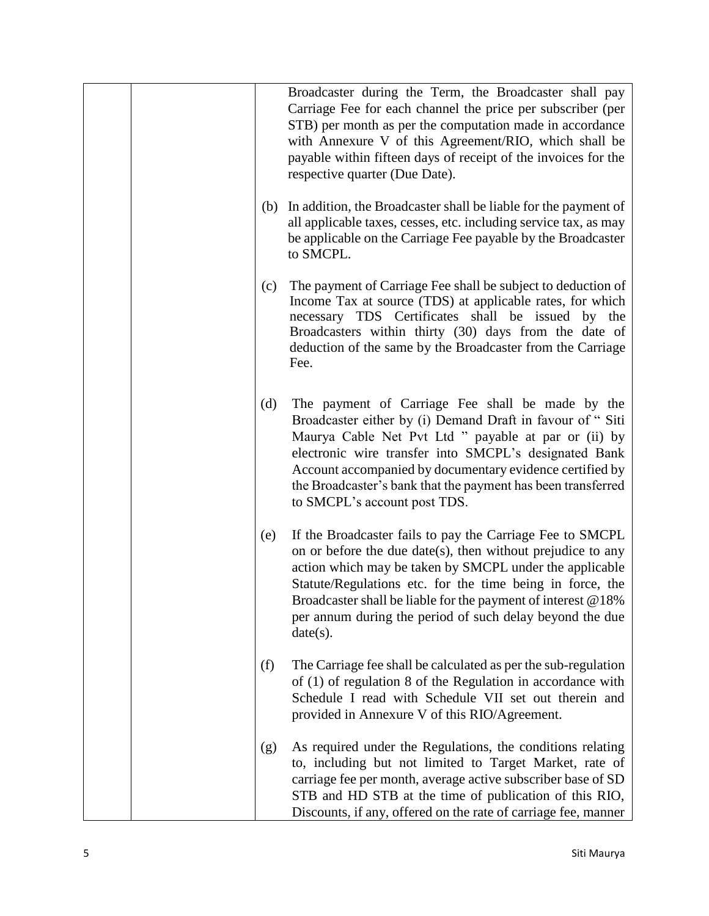|     | Broadcaster during the Term, the Broadcaster shall pay<br>Carriage Fee for each channel the price per subscriber (per<br>STB) per month as per the computation made in accordance<br>with Annexure V of this Agreement/RIO, which shall be<br>payable within fifteen days of receipt of the invoices for the<br>respective quarter (Due Date).                                             |
|-----|--------------------------------------------------------------------------------------------------------------------------------------------------------------------------------------------------------------------------------------------------------------------------------------------------------------------------------------------------------------------------------------------|
| (b) | In addition, the Broadcaster shall be liable for the payment of<br>all applicable taxes, cesses, etc. including service tax, as may<br>be applicable on the Carriage Fee payable by the Broadcaster<br>to SMCPL.                                                                                                                                                                           |
| (c) | The payment of Carriage Fee shall be subject to deduction of<br>Income Tax at source (TDS) at applicable rates, for which<br>necessary TDS Certificates shall be issued by the<br>Broadcasters within thirty (30) days from the date of<br>deduction of the same by the Broadcaster from the Carriage<br>Fee.                                                                              |
| (d) | The payment of Carriage Fee shall be made by the<br>Broadcaster either by (i) Demand Draft in favour of "Siti<br>Maurya Cable Net Pvt Ltd " payable at par or (ii) by<br>electronic wire transfer into SMCPL's designated Bank<br>Account accompanied by documentary evidence certified by<br>the Broadcaster's bank that the payment has been transferred<br>to SMCPL's account post TDS. |
| (e) | If the Broadcaster fails to pay the Carriage Fee to SMCPL<br>on or before the due date(s), then without prejudice to any<br>action which may be taken by SMCPL under the applicable<br>Statute/Regulations etc. for the time being in force, the<br>Broadcaster shall be liable for the payment of interest @18%<br>per annum during the period of such delay beyond the due<br>date(s).   |
| (f) | The Carriage fee shall be calculated as per the sub-regulation<br>of $(1)$ of regulation 8 of the Regulation in accordance with<br>Schedule I read with Schedule VII set out therein and<br>provided in Annexure V of this RIO/Agreement.                                                                                                                                                  |
| (g) | As required under the Regulations, the conditions relating<br>to, including but not limited to Target Market, rate of<br>carriage fee per month, average active subscriber base of SD<br>STB and HD STB at the time of publication of this RIO,<br>Discounts, if any, offered on the rate of carriage fee, manner                                                                          |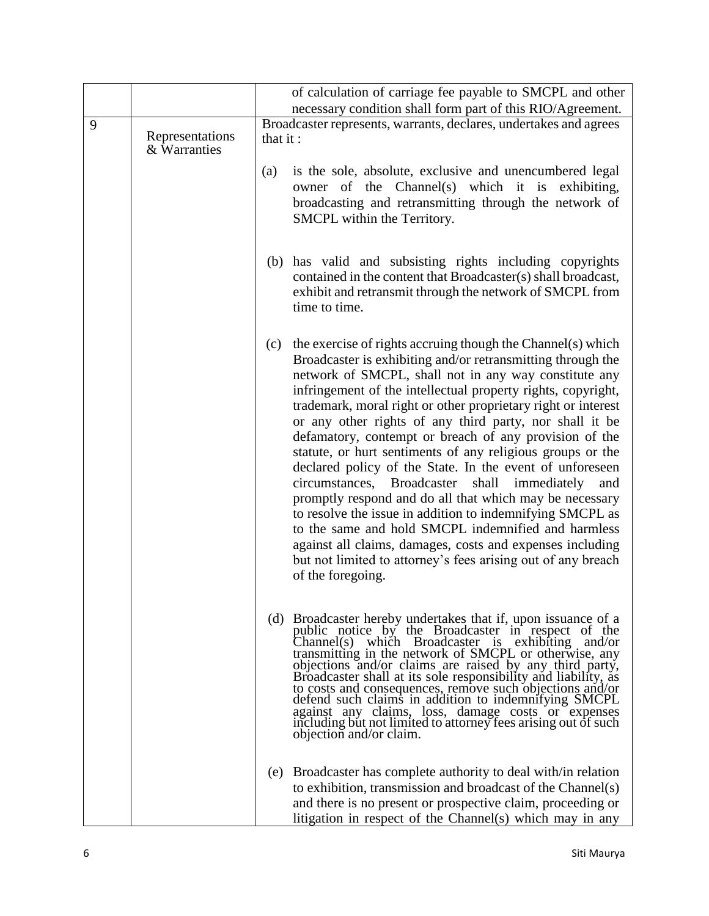|   |                                 | of calculation of carriage fee payable to SMCPL and other                                                                                                                                                                                                                                                                                                                                                                                                                                                                                                                                                                                                                                                                                                                                                                                                                                                                                                                   |
|---|---------------------------------|-----------------------------------------------------------------------------------------------------------------------------------------------------------------------------------------------------------------------------------------------------------------------------------------------------------------------------------------------------------------------------------------------------------------------------------------------------------------------------------------------------------------------------------------------------------------------------------------------------------------------------------------------------------------------------------------------------------------------------------------------------------------------------------------------------------------------------------------------------------------------------------------------------------------------------------------------------------------------------|
|   |                                 | necessary condition shall form part of this RIO/Agreement.                                                                                                                                                                                                                                                                                                                                                                                                                                                                                                                                                                                                                                                                                                                                                                                                                                                                                                                  |
| 9 | Representations<br>& Warranties | Broadcaster represents, warrants, declares, undertakes and agrees<br>that it:                                                                                                                                                                                                                                                                                                                                                                                                                                                                                                                                                                                                                                                                                                                                                                                                                                                                                               |
|   |                                 | is the sole, absolute, exclusive and unencumbered legal<br>(a)<br>owner of the Channel(s) which it is exhibiting,<br>broadcasting and retransmitting through the network of<br>SMCPL within the Territory.                                                                                                                                                                                                                                                                                                                                                                                                                                                                                                                                                                                                                                                                                                                                                                  |
|   |                                 | (b) has valid and subsisting rights including copyrights<br>contained in the content that Broadcaster(s) shall broadcast,<br>exhibit and retransmit through the network of SMCPL from<br>time to time.                                                                                                                                                                                                                                                                                                                                                                                                                                                                                                                                                                                                                                                                                                                                                                      |
|   |                                 | the exercise of rights accruing though the Channel(s) which<br>(c)<br>Broadcaster is exhibiting and/or retransmitting through the<br>network of SMCPL, shall not in any way constitute any<br>infringement of the intellectual property rights, copyright,<br>trademark, moral right or other proprietary right or interest<br>or any other rights of any third party, nor shall it be<br>defamatory, contempt or breach of any provision of the<br>statute, or hurt sentiments of any religious groups or the<br>declared policy of the State. In the event of unforeseen<br>circumstances,<br>Broadcaster<br>shall<br>immediately<br>and<br>promptly respond and do all that which may be necessary<br>to resolve the issue in addition to indemnifying SMCPL as<br>to the same and hold SMCPL indemnified and harmless<br>against all claims, damages, costs and expenses including<br>but not limited to attorney's fees arising out of any breach<br>of the foregoing. |
|   |                                 | (d) Broadcaster hereby undertakes that if, upon issuance of a<br>public notice by the Broadcaster in respect of the<br>Channel(s) which Broadcaster is exhibiting and/or<br>transmitting in the network of SMCPL or otherwise, any<br>objections and/or claims are raised by any third party,<br>Broadcaster shall at its sole responsibility and liability, as<br>to costs and consequences, remove such objections and/or defend such claims in addition to indemnifying SMCPL against any claims, loss, damage costs or expenses<br>including but not limited to attorney fees arising out of such<br>objection and/or claim.                                                                                                                                                                                                                                                                                                                                            |
|   |                                 | (e) Broadcaster has complete authority to deal with/in relation<br>to exhibition, transmission and broadcast of the Channel(s)<br>and there is no present or prospective claim, proceeding or<br>litigation in respect of the Channel(s) which may in any                                                                                                                                                                                                                                                                                                                                                                                                                                                                                                                                                                                                                                                                                                                   |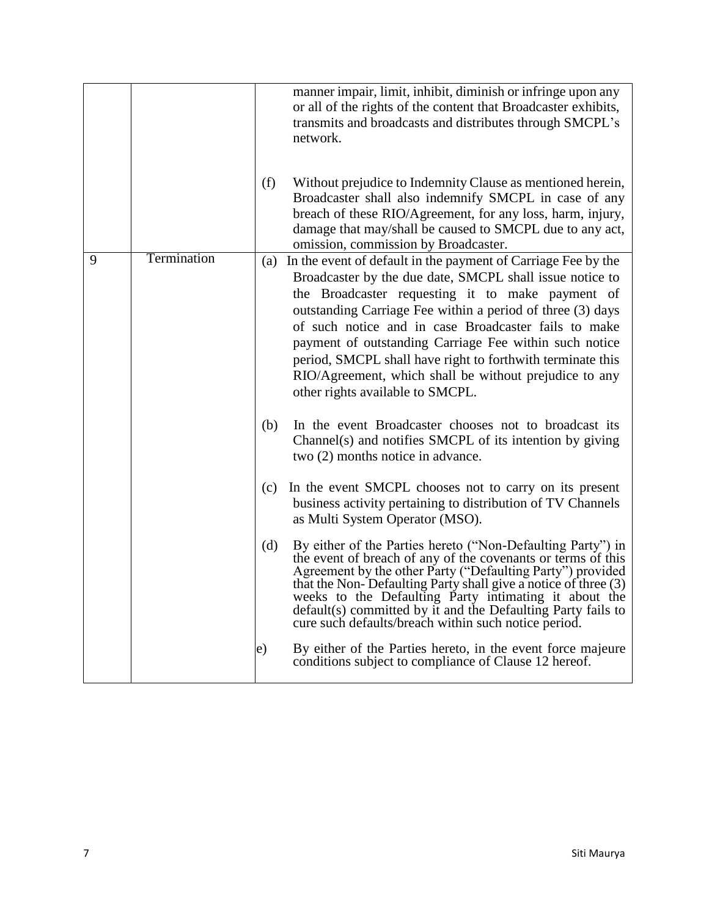|   |             |     | manner impair, limit, inhibit, diminish or infringe upon any<br>or all of the rights of the content that Broadcaster exhibits,<br>transmits and broadcasts and distributes through SMCPL's<br>network.                                                                                                                                                                                                                                                                                                                    |
|---|-------------|-----|---------------------------------------------------------------------------------------------------------------------------------------------------------------------------------------------------------------------------------------------------------------------------------------------------------------------------------------------------------------------------------------------------------------------------------------------------------------------------------------------------------------------------|
|   |             | (f) | Without prejudice to Indemnity Clause as mentioned herein,<br>Broadcaster shall also indemnify SMCPL in case of any<br>breach of these RIO/Agreement, for any loss, harm, injury,<br>damage that may/shall be caused to SMCPL due to any act,<br>omission, commission by Broadcaster.                                                                                                                                                                                                                                     |
| 9 | Termination | (a) | In the event of default in the payment of Carriage Fee by the<br>Broadcaster by the due date, SMCPL shall issue notice to<br>the Broadcaster requesting it to make payment of<br>outstanding Carriage Fee within a period of three (3) days<br>of such notice and in case Broadcaster fails to make<br>payment of outstanding Carriage Fee within such notice<br>period, SMCPL shall have right to forthwith terminate this<br>RIO/Agreement, which shall be without prejudice to any<br>other rights available to SMCPL. |
|   |             | (b) | In the event Broadcaster chooses not to broadcast its<br>Channel(s) and notifies SMCPL of its intention by giving<br>two (2) months notice in advance.                                                                                                                                                                                                                                                                                                                                                                    |
|   |             | (c) | In the event SMCPL chooses not to carry on its present<br>business activity pertaining to distribution of TV Channels<br>as Multi System Operator (MSO).                                                                                                                                                                                                                                                                                                                                                                  |
|   |             | (d) | By either of the Parties hereto ("Non-Defaulting Party") in<br>the event of breach of any of the covenants or terms of this<br>Agreement by the other Party ("Defaulting Party") provided<br>that the Non-Defaulting Party shall give a notice of three (3)<br>weeks to the Defaulting Party intimating it about the<br>default(s) committed by it and the Defaulting Party fails to<br>cure such defaults/breach within such notice period.                                                                              |
|   |             | e)  | By either of the Parties hereto, in the event force majeure<br>conditions subject to compliance of Clause 12 hereof.                                                                                                                                                                                                                                                                                                                                                                                                      |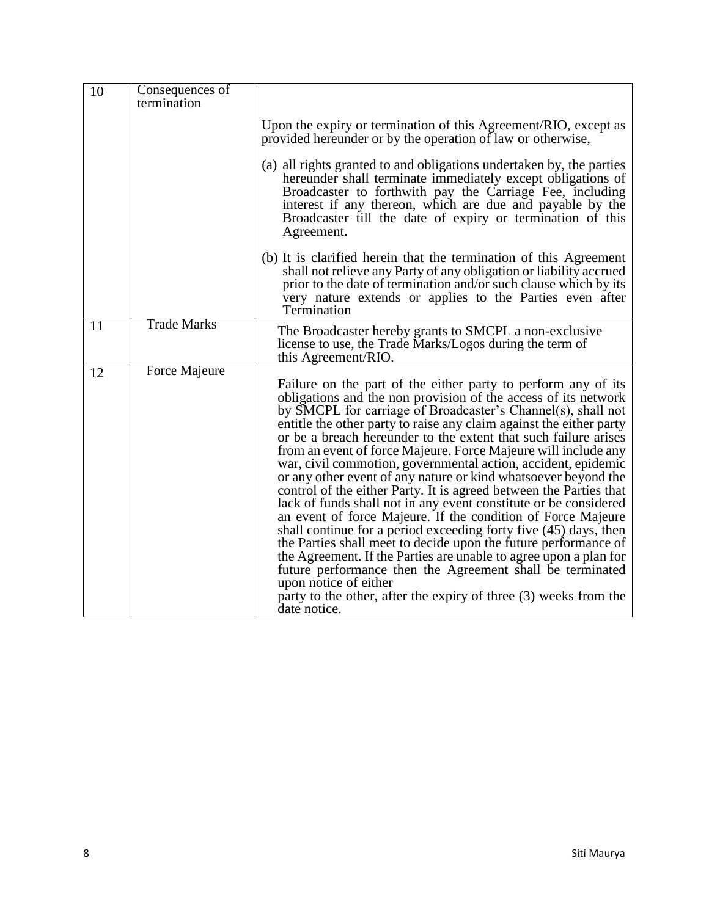| 10 | Consequences of<br>termination |                                                                                                                                                                                                                                                                                                                                                                                                                                                                                                                                                                                                                                                                                                                                                                                                                                                                                                                                                                                                                                                                                                                                                  |
|----|--------------------------------|--------------------------------------------------------------------------------------------------------------------------------------------------------------------------------------------------------------------------------------------------------------------------------------------------------------------------------------------------------------------------------------------------------------------------------------------------------------------------------------------------------------------------------------------------------------------------------------------------------------------------------------------------------------------------------------------------------------------------------------------------------------------------------------------------------------------------------------------------------------------------------------------------------------------------------------------------------------------------------------------------------------------------------------------------------------------------------------------------------------------------------------------------|
|    |                                | Upon the expiry or termination of this Agreement/RIO, except as<br>provided hereunder or by the operation of law or otherwise,                                                                                                                                                                                                                                                                                                                                                                                                                                                                                                                                                                                                                                                                                                                                                                                                                                                                                                                                                                                                                   |
|    |                                | (a) all rights granted to and obligations undertaken by, the parties<br>hereunder shall terminate immediately except obligations of<br>Broadcaster to forthwith pay the Carriage Fee, including<br>interest if any thereon, which are due and payable by the<br>Broadcaster till the date of expiry or termination of this<br>Agreement.                                                                                                                                                                                                                                                                                                                                                                                                                                                                                                                                                                                                                                                                                                                                                                                                         |
|    |                                | (b) It is clarified herein that the termination of this Agreement<br>shall not relieve any Party of any obligation or liability accrued<br>prior to the date of termination and/or such clause which by its<br>very nature extends or applies to the Parties even after<br>Termination                                                                                                                                                                                                                                                                                                                                                                                                                                                                                                                                                                                                                                                                                                                                                                                                                                                           |
| 11 | <b>Trade Marks</b>             | The Broadcaster hereby grants to SMCPL a non-exclusive<br>license to use, the Trade Marks/Logos during the term of<br>this Agreement/RIO.                                                                                                                                                                                                                                                                                                                                                                                                                                                                                                                                                                                                                                                                                                                                                                                                                                                                                                                                                                                                        |
| 12 | Force Majeure                  | Failure on the part of the either party to perform any of its<br>obligations and the non provision of the access of its network<br>by SMCPL for carriage of Broadcaster's Channel(s), shall not<br>entitle the other party to raise any claim against the either party<br>or be a breach hereunder to the extent that such failure arises<br>from an event of force Majeure. Force Majeure will include any<br>war, civil commotion, governmental action, accident, epidemic<br>or any other event of any nature or kind whatsoever beyond the<br>control of the either Party. It is agreed between the Parties that<br>lack of funds shall not in any event constitute or be considered<br>an event of force Majeure. If the condition of Force Majeure<br>shall continue for a period exceeding forty five (45) days, then<br>the Parties shall meet to decide upon the future performance of<br>the Agreement. If the Parties are unable to agree upon a plan for<br>future performance then the Agreement shall be terminated<br>upon notice of either<br>party to the other, after the expiry of three $(3)$ weeks from the<br>date notice. |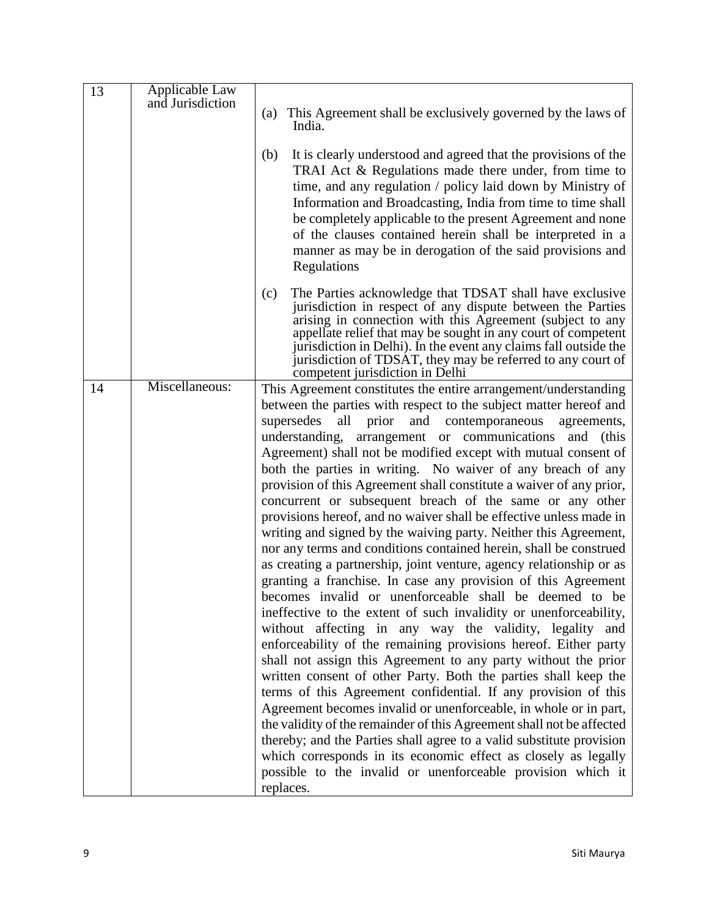| 13 | Applicable Law   |                                                                                                                                   |
|----|------------------|-----------------------------------------------------------------------------------------------------------------------------------|
|    | and Jurisdiction | (a) This Agreement shall be exclusively governed by the laws of                                                                   |
|    |                  | India.                                                                                                                            |
|    |                  |                                                                                                                                   |
|    |                  | It is clearly understood and agreed that the provisions of the<br>(b)                                                             |
|    |                  | TRAI Act & Regulations made there under, from time to                                                                             |
|    |                  | time, and any regulation / policy laid down by Ministry of                                                                        |
|    |                  | Information and Broadcasting, India from time to time shall                                                                       |
|    |                  | be completely applicable to the present Agreement and none                                                                        |
|    |                  | of the clauses contained herein shall be interpreted in a                                                                         |
|    |                  | manner as may be in derogation of the said provisions and                                                                         |
|    |                  | Regulations                                                                                                                       |
|    |                  |                                                                                                                                   |
|    |                  | The Parties acknowledge that TDSAT shall have exclusive<br>(c)                                                                    |
|    |                  | jurisdiction in respect of any dispute between the Parties                                                                        |
|    |                  | arising in connection with this Agreement (subject to any                                                                         |
|    |                  | appellate relief that may be sought in any court of competent<br>jurisdiction in Delhi). In the event any claims fall outside the |
|    |                  | jurisdiction of TDSAT, they may be referred to any court of                                                                       |
|    |                  | competent jurisdiction in Delhi                                                                                                   |
| 14 | Miscellaneous:   | This Agreement constitutes the entire arrangement/understanding                                                                   |
|    |                  | between the parties with respect to the subject matter hereof and                                                                 |
|    |                  | supersedes<br>all prior<br>and contemporaneous<br>agreements,                                                                     |
|    |                  | understanding, arrangement or communications and (this                                                                            |
|    |                  | Agreement) shall not be modified except with mutual consent of                                                                    |
|    |                  | both the parties in writing. No waiver of any breach of any                                                                       |
|    |                  | provision of this Agreement shall constitute a waiver of any prior,                                                               |
|    |                  | concurrent or subsequent breach of the same or any other                                                                          |
|    |                  | provisions hereof, and no waiver shall be effective unless made in                                                                |
|    |                  | writing and signed by the waiving party. Neither this Agreement,                                                                  |
|    |                  | nor any terms and conditions contained herein, shall be construed                                                                 |
|    |                  | as creating a partnership, joint venture, agency relationship or as                                                               |
|    |                  | granting a franchise. In case any provision of this Agreement                                                                     |
|    |                  | becomes invalid or unenforceable shall be deemed to be                                                                            |
|    |                  | ineffective to the extent of such invalidity or unenforceability,                                                                 |
|    |                  | without affecting in any way the validity, legality and                                                                           |
|    |                  | enforceability of the remaining provisions hereof. Either party                                                                   |
|    |                  | shall not assign this Agreement to any party without the prior                                                                    |
|    |                  | written consent of other Party. Both the parties shall keep the                                                                   |
|    |                  | terms of this Agreement confidential. If any provision of this                                                                    |
|    |                  | Agreement becomes invalid or unenforceable, in whole or in part,                                                                  |
|    |                  | the validity of the remainder of this Agreement shall not be affected                                                             |
|    |                  | thereby; and the Parties shall agree to a valid substitute provision                                                              |
|    |                  | which corresponds in its economic effect as closely as legally                                                                    |
|    |                  | possible to the invalid or unenforceable provision which it                                                                       |
|    |                  | replaces.                                                                                                                         |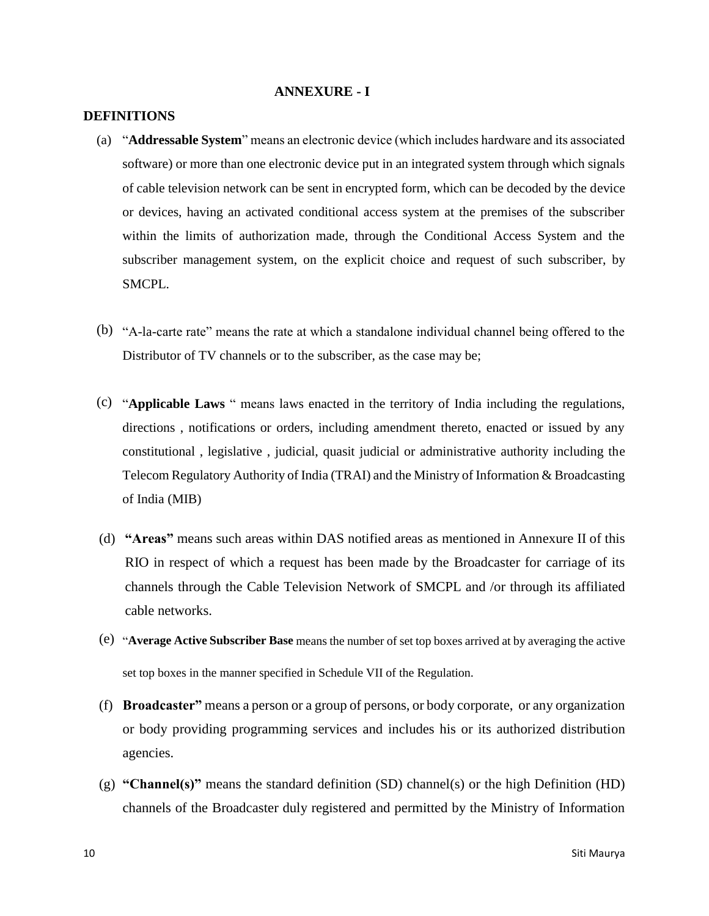#### **ANNEXURE - I**

#### **DEFINITIONS**

- (a) "**Addressable System**" means an electronic device (which includes hardware and its associated software) or more than one electronic device put in an integrated system through which signals of cable television network can be sent in encrypted form, which can be decoded by the device or devices, having an activated conditional access system at the premises of the subscriber within the limits of authorization made, through the Conditional Access System and the subscriber management system, on the explicit choice and request of such subscriber, by SMCPL.
- (b) "A-la-carte rate" means the rate at which a standalone individual channel being offered to the Distributor of TV channels or to the subscriber, as the case may be;
- (c) "**Applicable Laws** " means laws enacted in the territory of India including the regulations, directions , notifications or orders, including amendment thereto, enacted or issued by any constitutional , legislative , judicial, quasit judicial or administrative authority including the Telecom Regulatory Authority of India (TRAI) and the Ministry of Information & Broadcasting of India (MIB)
- (d) **"Areas"** means such areas within DAS notified areas as mentioned in Annexure II of this RIO in respect of which a request has been made by the Broadcaster for carriage of its channels through the Cable Television Network of SMCPL and /or through its affiliated cable networks.
- (e) "**Average Active Subscriber Base** means the number of set top boxes arrived at by averaging the active set top boxes in the manner specified in Schedule VII of the Regulation.
- (f) **Broadcaster"** means a person or a group of persons, or body corporate, or any organization or body providing programming services and includes his or its authorized distribution agencies.
- (g) **"Channel(s)"** means the standard definition (SD) channel(s) or the high Definition (HD) channels of the Broadcaster duly registered and permitted by the Ministry of Information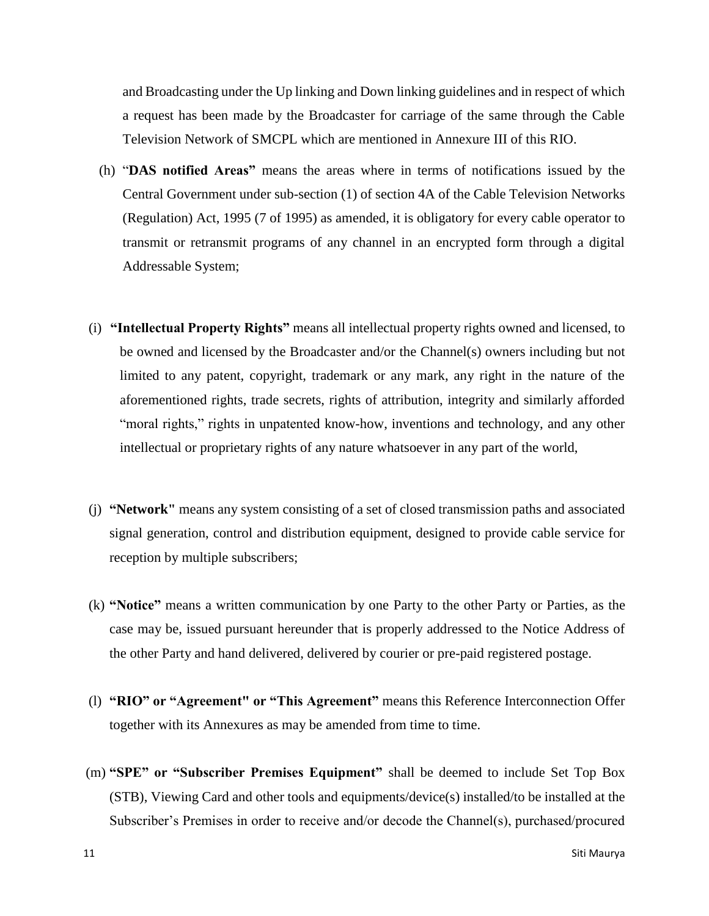and Broadcasting under the Up linking and Down linking guidelines and in respect of which a request has been made by the Broadcaster for carriage of the same through the Cable Television Network of SMCPL which are mentioned in Annexure III of this RIO.

- (h) "**DAS notified Areas"** means the areas where in terms of notifications issued by the Central Government under sub-section (1) of section 4A of the Cable Television Networks (Regulation) Act, 1995 (7 of 1995) as amended, it is obligatory for every cable operator to transmit or retransmit programs of any channel in an encrypted form through a digital Addressable System;
- (i) **"Intellectual Property Rights"** means all intellectual property rights owned and licensed, to be owned and licensed by the Broadcaster and/or the Channel(s) owners including but not limited to any patent, copyright, trademark or any mark, any right in the nature of the aforementioned rights, trade secrets, rights of attribution, integrity and similarly afforded "moral rights," rights in unpatented know-how, inventions and technology, and any other intellectual or proprietary rights of any nature whatsoever in any part of the world,
- (j) **"Network"** means any system consisting of a set of closed transmission paths and associated signal generation, control and distribution equipment, designed to provide cable service for reception by multiple subscribers;
- (k) **"Notice"** means a written communication by one Party to the other Party or Parties, as the case may be, issued pursuant hereunder that is properly addressed to the Notice Address of the other Party and hand delivered, delivered by courier or pre-paid registered postage.
- (l) **"RIO" or "Agreement" or "This Agreement"** means this Reference Interconnection Offer together with its Annexures as may be amended from time to time.
- (m) **"SPE" or "Subscriber Premises Equipment"** shall be deemed to include Set Top Box (STB), Viewing Card and other tools and equipments/device(s) installed/to be installed at the Subscriber's Premises in order to receive and/or decode the Channel(s), purchased/procured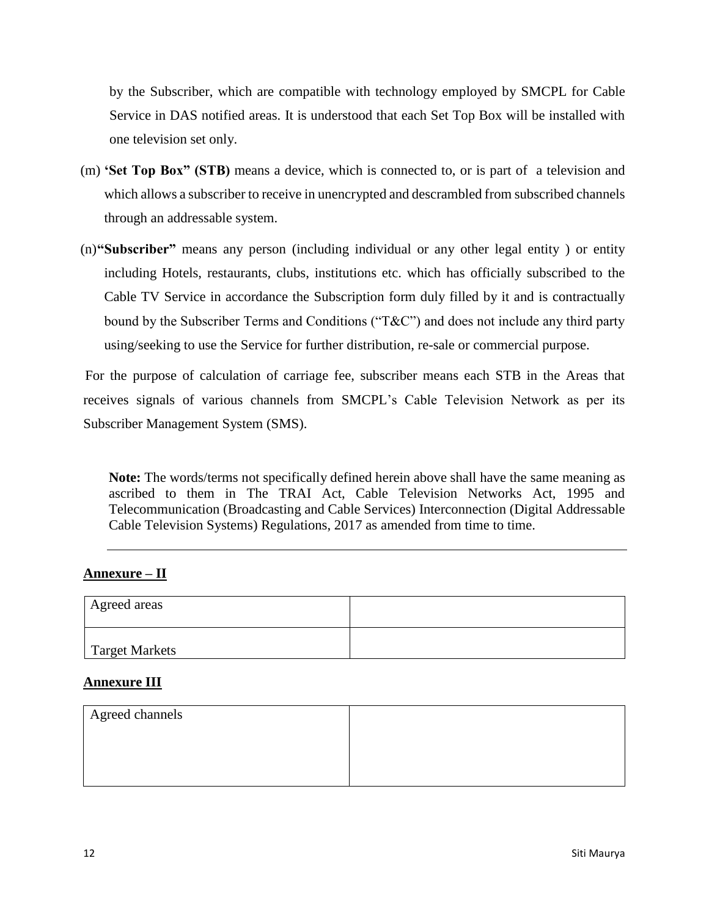by the Subscriber, which are compatible with technology employed by SMCPL for Cable Service in DAS notified areas. It is understood that each Set Top Box will be installed with one television set only.

- (m) **'Set Top Box" (STB)** means a device, which is connected to, or is part of a television and which allows a subscriber to receive in unencrypted and descrambled from subscribed channels through an addressable system.
- (n)**"Subscriber"** means any person (including individual or any other legal entity ) or entity including Hotels, restaurants, clubs, institutions etc. which has officially subscribed to the Cable TV Service in accordance the Subscription form duly filled by it and is contractually bound by the Subscriber Terms and Conditions ("T&C") and does not include any third party using/seeking to use the Service for further distribution, re-sale or commercial purpose.

For the purpose of calculation of carriage fee, subscriber means each STB in the Areas that receives signals of various channels from SMCPL's Cable Television Network as per its Subscriber Management System (SMS).

**Note:** The words/terms not specifically defined herein above shall have the same meaning as ascribed to them in The TRAI Act, Cable Television Networks Act, 1995 and Telecommunication (Broadcasting and Cable Services) Interconnection (Digital Addressable Cable Television Systems) Regulations, 2017 as amended from time to time.

#### **Annexure – II**

| Agreed areas   |  |
|----------------|--|
| Target Markets |  |

#### **Annexure III**

| Agreed channels |  |
|-----------------|--|
|                 |  |
|                 |  |
|                 |  |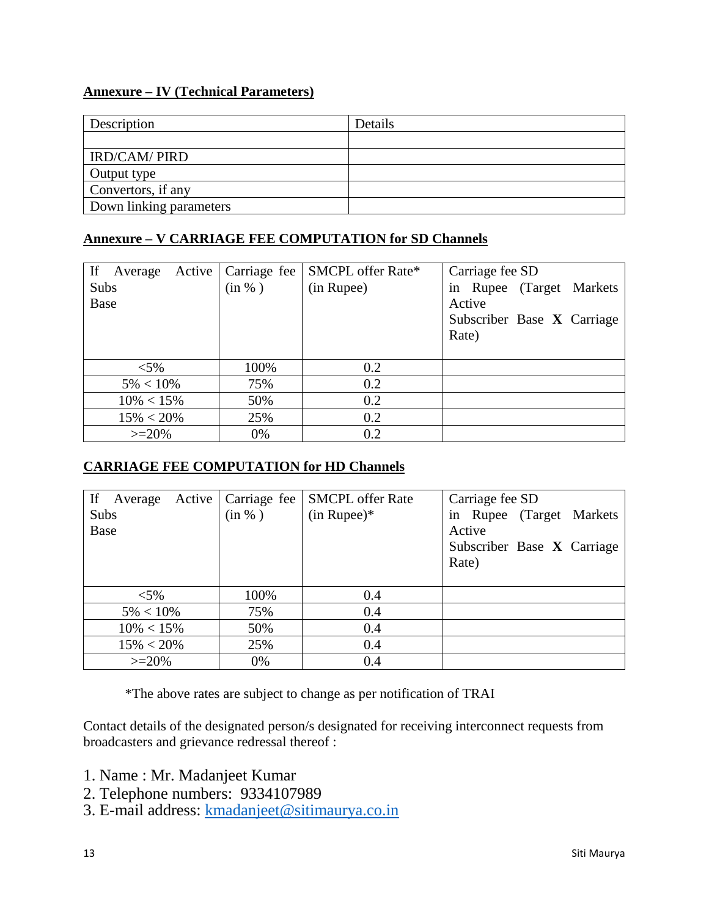## **Annexure – IV (Technical Parameters)**

| Description             | Details |
|-------------------------|---------|
|                         |         |
| <b>IRD/CAM/ PIRD</b>    |         |
| Output type             |         |
| Convertors, if any      |         |
| Down linking parameters |         |

### **Annexure – V CARRIAGE FEE COMPUTATION for SD Channels**

| If<br>Active  <br>Average | Carriage fee | SMCPL offer Rate* | Carriage fee SD            |
|---------------------------|--------------|-------------------|----------------------------|
| Subs                      | (in %)       | (in Rupee)        | in Rupee (Target Markets   |
| Base                      |              |                   | Active                     |
|                           |              |                   | Subscriber Base X Carriage |
|                           |              |                   | Rate)                      |
|                           |              |                   |                            |
| $<$ 5%                    | 100%         | 0.2               |                            |
| $5\% < 10\%$              | 75%          | 0.2               |                            |
| $10\% < 15\%$             | 50%          | 0.2               |                            |
| $15\% < 20\%$             | 25%          | 0.2               |                            |
| $>=20%$                   | 0%           | 0.2               |                            |

## **CARRIAGE FEE COMPUTATION for HD Channels**

| If<br>Active<br>Average | Carriage fee | <b>SMCPL</b> offer Rate | Carriage fee SD            |
|-------------------------|--------------|-------------------------|----------------------------|
| Subs                    | (in %)       | $(in Runee)*$           | in Rupee (Target Markets   |
| Base                    |              |                         | Active                     |
|                         |              |                         | Subscriber Base X Carriage |
|                         |              |                         | Rate)                      |
|                         |              |                         |                            |
| ${<}5\%$                | 100%         | 0.4                     |                            |
| $5\% < 10\%$            | 75%          | 0.4                     |                            |
| $10\% < 15\%$           | 50%          | 0.4                     |                            |
| $15\% < 20\%$           | 25%          | 0.4                     |                            |
| $>=20%$                 | 0%           | 0.4                     |                            |

\*The above rates are subject to change as per notification of TRAI

Contact details of the designated person/s designated for receiving interconnect requests from broadcasters and grievance redressal thereof :

- 1. Name : Mr. Madanjeet Kumar
- 2. Telephone numbers: 9334107989
- 3. E-mail address: <u>kmadanjeet@sitimaurya.co.in</u>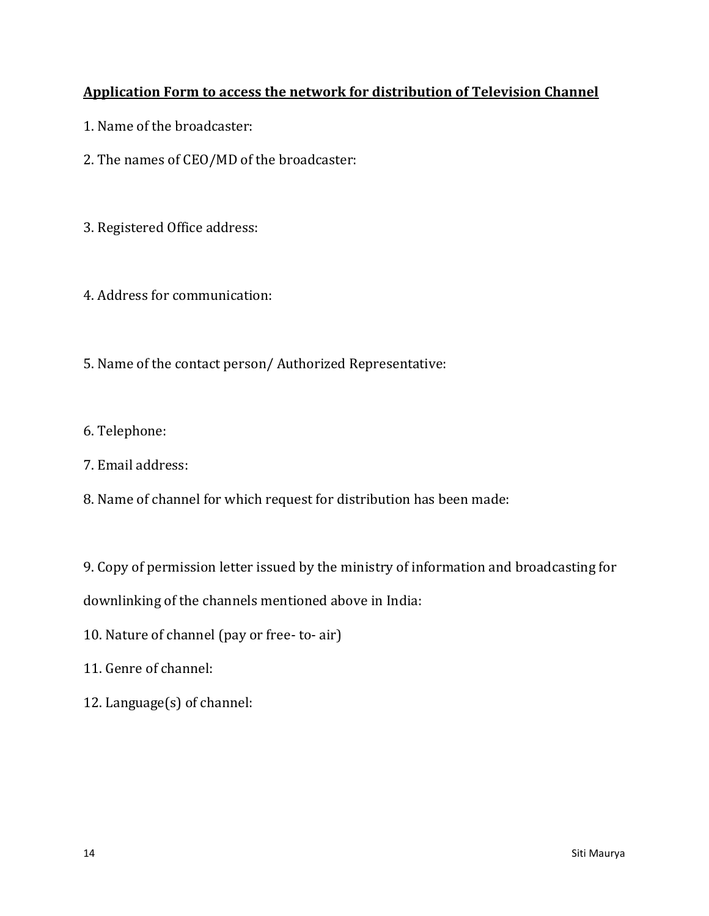# **Application Form to access the network for distribution of Television Channel**

- 1. Name of the broadcaster:
- 2. The names of CEO/MD of the broadcaster:
- 3. Registered Office address:
- 4. Address for communication:
- 5. Name of the contact person/ Authorized Representative:
- 6. Telephone:
- 7. Email address:
- 8. Name of channel for which request for distribution has been made:

9. Copy of permission letter issued by the ministry of information and broadcasting for

downlinking of the channels mentioned above in India:

- 10. Nature of channel (pay or free- to- air)
- 11. Genre of channel:
- 12. Language(s) of channel: